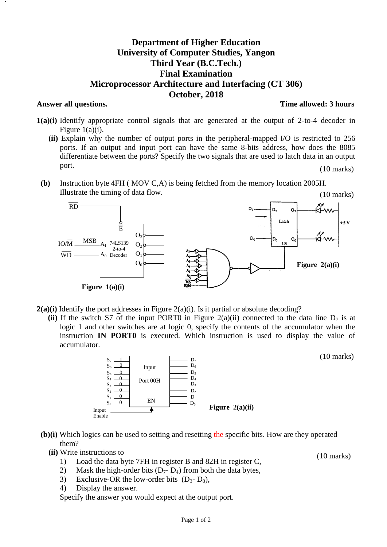## **Department of Higher Education University of Computer Studies, Yangon Third Year (B.C.Tech.) Final Examination Microprocessor Architecture and Interfacing (CT 306) October, 2018**

**Answer all questions. Time allowed: 3 hours**

(10 marks)

- **1(a)(i)** Identify appropriate control signals that are generated at the output of 2-to-4 decoder in Figure  $1(a)(i)$ .
	- **(ii)** Explain why the number of output ports in the peripheral-mapped I/O is restricted to 256 ports. If an output and input port can have the same 8-bits address, how does the 8085 differentiate between the ports? Specify the two signals that are used to latch data in an output port. (10 marks)
- **(b)** Instruction byte 4FH ( MOV C,A) is being fetched from the memory location 2005H. Illustrate the timing of data flow. (10 marks)



- **2(a)(i)** Identify the port addresses in Figure 2(a)(i). Is it partial or absolute decoding? resses in Figi
	- (ii) If the switch S7 of the input PORT0 in Figure  $2(a)(ii)$  connected to the data line  $D_7$  is at logic 1 and other switches are at logic 0, specify the contents of the accumulator when the instruction **IN PORT0** is executed. Which instruction is used to display the value of accumulator.



- **(b)(i)** Which logics can be used to setting and resetting the specific bits. How are they operated them?
	- **(ii)** Write instructions to
		- 1) Load the data byte 7FH in register B and 82H in register C,
		- 2) Mask the high-order bits  $(D_7 D_4)$  from both the data bytes,
		- 3) Exclusive-OR the low-order bits  $(D_3-D_0)$ ,
		- 4) Display the answer.

Specify the answer you would expect at the output port.